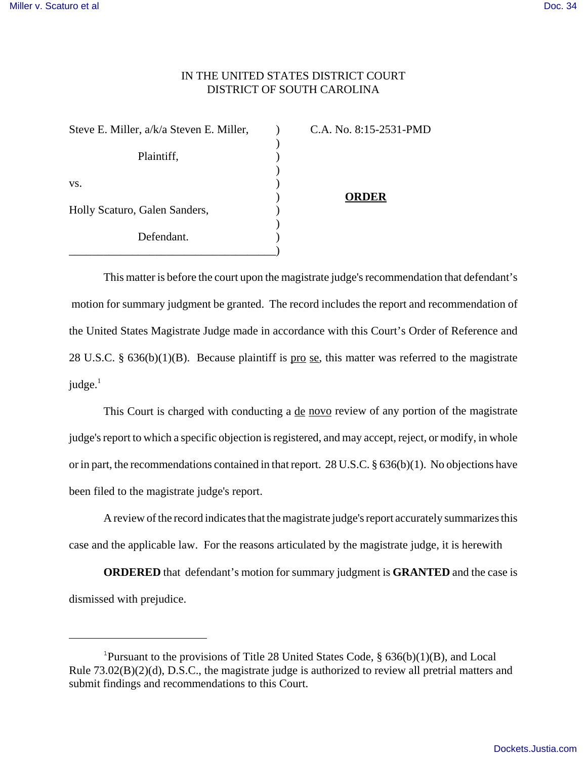## IN THE UNITED STATES DISTRICT COURT DISTRICT OF SOUTH CAROLINA

)

)

)

Steve E. Miller, a/k/a Steven E. Miller,  $\qquad \qquad$  C.A. No. 8:15-2531-PMD Plaintiff,  $\qquad \qquad$ )  $\mathbf{v}\mathbf{s}$ .  $\qquad \qquad$  ) Holly Scaturo, Galen Sanders, ) Defendant. \_\_\_\_\_\_\_\_\_\_\_\_\_\_\_\_\_\_\_\_\_\_\_\_\_\_\_\_\_\_\_\_\_\_\_\_)

) **ORDER**

This matter is before the court upon the magistrate judge's recommendation that defendant's motion for summary judgment be granted. The record includes the report and recommendation of the United States Magistrate Judge made in accordance with this Court's Order of Reference and 28 U.S.C. §  $636(b)(1)(B)$ . Because plaintiff is pro se, this matter was referred to the magistrate judge. $<sup>1</sup>$ </sup>

This Court is charged with conducting a <u>de novo</u> review of any portion of the magistrate judge's report to which a specific objection is registered, and may accept, reject, or modify, in whole or in part, the recommendations contained in that report. 28 U.S.C. § 636(b)(1). No objections have been filed to the magistrate judge's report.

A review of the record indicates that the magistrate judge's report accurately summarizes this case and the applicable law. For the reasons articulated by the magistrate judge, it is herewith

**ORDERED** that defendant's motion for summary judgment is **GRANTED** and the case is dismissed with prejudice.

<sup>&</sup>lt;sup>1</sup>Pursuant to the provisions of Title 28 United States Code,  $\S$  636(b)(1)(B), and Local Rule 73.02(B)(2)(d), D.S.C., the magistrate judge is authorized to review all pretrial matters and submit findings and recommendations to this Court.